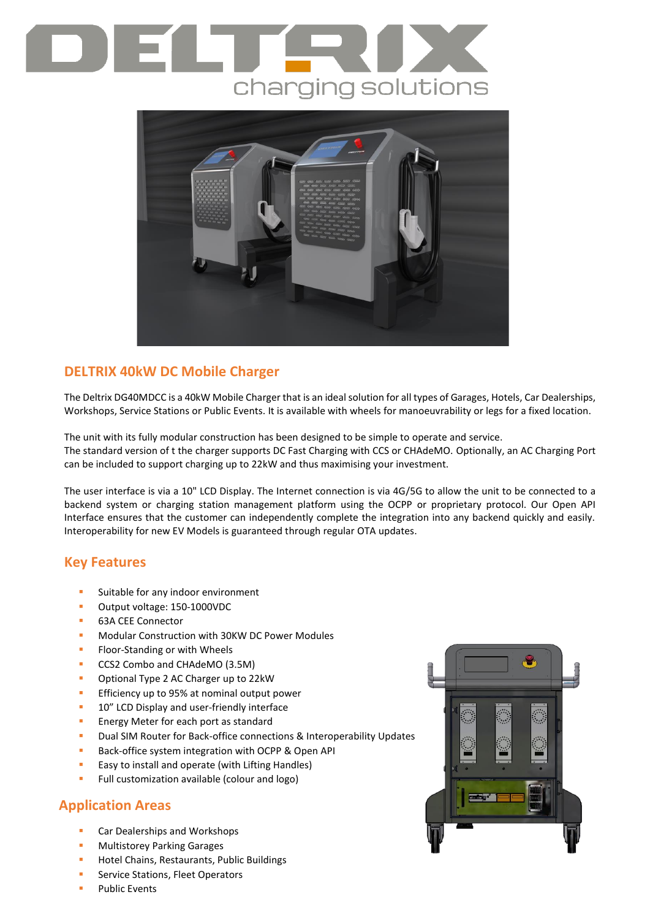# charging solutions



# **DELTRIX 40kW DC Mobile Charger**

The Deltrix DG40MDCC is a 40kW Mobile Charger that is an ideal solution for all types of Garages, Hotels, Car Dealerships, Workshops, Service Stations or Public Events. It is available with wheels for manoeuvrability or legs for a fixed location.

The unit with its fully modular construction has been designed to be simple to operate and service. The standard version of t the charger supports DC Fast Charging with CCS or CHAdeMO. Optionally, an AC Charging Port can be included to support charging up to 22kW and thus maximising your investment.

The user interface is via a 10" LCD Display. The Internet connection is via 4G/5G to allow the unit to be connected to a backend system or charging station management platform using the OCPP or proprietary protocol. Our Open API Interface ensures that the customer can independently complete the integration into any backend quickly and easily. Interoperability for new EV Models is guaranteed through regular OTA updates.

### **Key Features**

- Suitable for any indoor environment
- Output voltage: 150-1000VDC
- 63A CEE Connector
- Modular Construction with 30KW DC Power Modules
- Floor-Standing or with Wheels
- CCS2 Combo and CHAdeMO (3.5M)
- Optional Type 2 AC Charger up to 22kW
- Efficiency up to 95% at nominal output power
- 10" LCD Display and user-friendly interface
- **E** Energy Meter for each port as standard
- Dual SIM Router for Back-office connections & Interoperability Updates
- Back-office system integration with OCPP & Open API
- Easy to install and operate (with Lifting Handles)
- Full customization available (colour and logo)

### **Application Areas**

- Car Dealerships and Workshops
- **Multistorey Parking Garages**
- Hotel Chains, Restaurants, Public Buildings
- Service Stations, Fleet Operators
- **Public Events**